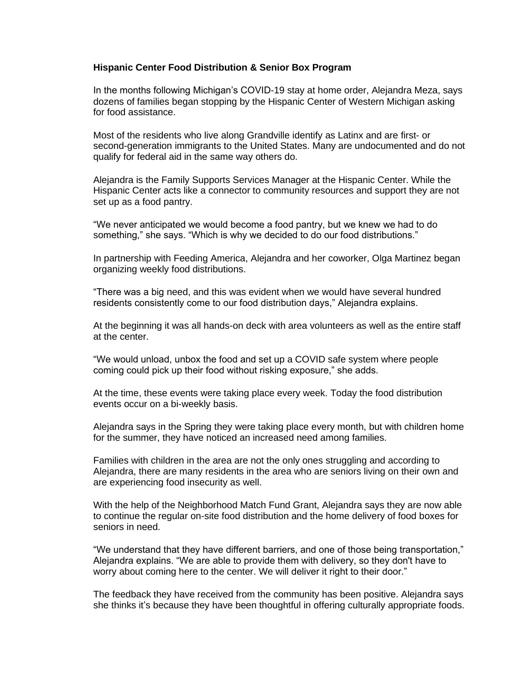## **Hispanic Center Food Distribution & Senior Box Program**

In the months following Michigan's COVID-19 stay at home order, Alejandra Meza, says dozens of families began stopping by the Hispanic Center of Western Michigan asking for food assistance.

Most of the residents who live along Grandville identify as Latinx and are first- or second-generation immigrants to the United States. Many are undocumented and do not qualify for federal aid in the same way others do.

Alejandra is the Family Supports Services Manager at the Hispanic Center. While the Hispanic Center acts like a connector to community resources and support they are not set up as a food pantry.

"We never anticipated we would become a food pantry, but we knew we had to do something," she says. "Which is why we decided to do our food distributions."

In partnership with Feeding America, Alejandra and her coworker, Olga Martinez began organizing weekly food distributions.

"There was a big need, and this was evident when we would have several hundred residents consistently come to our food distribution days," Alejandra explains.

At the beginning it was all hands-on deck with area volunteers as well as the entire staff at the center.

"We would unload, unbox the food and set up a COVID safe system where people coming could pick up their food without risking exposure," she adds.

At the time, these events were taking place every week. Today the food distribution events occur on a bi-weekly basis.

Alejandra says in the Spring they were taking place every month, but with children home for the summer, they have noticed an increased need among families.

Families with children in the area are not the only ones struggling and according to Alejandra, there are many residents in the area who are seniors living on their own and are experiencing food insecurity as well.

With the help of the Neighborhood Match Fund Grant, Alejandra says they are now able to continue the regular on-site food distribution and the home delivery of food boxes for seniors in need.

"We understand that they have different barriers, and one of those being transportation," Alejandra explains. "We are able to provide them with delivery, so they don't have to worry about coming here to the center. We will deliver it right to their door."

The feedback they have received from the community has been positive. Alejandra says she thinks it's because they have been thoughtful in offering culturally appropriate foods.